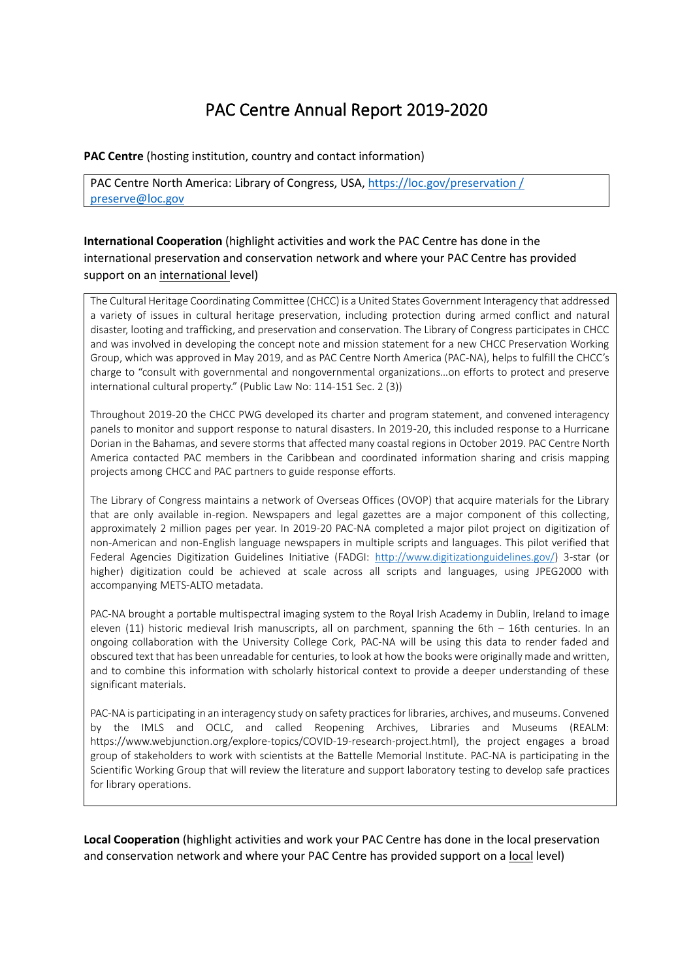# PAC Centre Annual Report 2019-2020

#### **PAC Centre** (hosting institution, country and contact information)

PAC Centre North America: Library of Congress, USA, [https://loc.gov/preservation /](https://loc.gov/preservation%20/) [preserve@loc.gov](mailto:preserve@loc.gov) 

# **International Cooperation** (highlight activities and work the PAC Centre has done in the international preservation and conservation network and where your PAC Centre has provided support on an international level)

The Cultural Heritage Coordinating Committee (CHCC) is a United States Government Interagency that addressed a variety of issues in cultural heritage preservation, including protection during armed conflict and natural disaster, looting and trafficking, and preservation and conservation. The Library of Congress participates in CHCC and was involved in developing the concept note and mission statement for a new CHCC Preservation Working Group, which was approved in May 2019, and as PAC Centre North America (PAC-NA), helps to fulfill the CHCC's charge to "consult with governmental and nongovernmental organizations…on efforts to protect and preserve international cultural property." (Public Law No: 114-151 Sec. 2 (3))

Throughout 2019-20 the CHCC PWG developed its charter and program statement, and convened interagency panels to monitor and support response to natural disasters. In 2019-20, this included response to a Hurricane Dorian in the Bahamas, and severe storms that affected many coastal regions in October 2019. PAC Centre North America contacted PAC members in the Caribbean and coordinated information sharing and crisis mapping projects among CHCC and PAC partners to guide response efforts.

The Library of Congress maintains a network of Overseas Offices (OVOP) that acquire materials for the Library that are only available in-region. Newspapers and legal gazettes are a major component of this collecting, approximately 2 million pages per year. In 2019-20 PAC-NA completed a major pilot project on digitization of non-American and non-English language newspapers in multiple scripts and languages. This pilot verified that Federal Agencies Digitization Guidelines Initiative (FADGI: [http://www.digitizationguidelines.gov/\)](http://www.digitizationguidelines.gov/) 3-star (or higher) digitization could be achieved at scale across all scripts and languages, using JPEG2000 with accompanying METS-ALTO metadata.

PAC-NA brought a portable multispectral imaging system to the Royal Irish Academy in Dublin, Ireland to image eleven (11) historic medieval Irish manuscripts, all on parchment, spanning the 6th – 16th centuries. In an ongoing collaboration with the University College Cork, PAC-NA will be using this data to render faded and obscured text that has been unreadable for centuries, to look at how the books were originally made and written, and to combine this information with scholarly historical context to provide a deeper understanding of these significant materials.

PAC-NA is participating in an interagency study on safety practices for libraries, archives, and museums. Convened by the IMLS and OCLC, and called Reopening Archives, Libraries and Museums (REALM: https://www.webjunction.org/explore-topics/COVID-19-research-project.html), the project engages a broad group of stakeholders to work with scientists at the Battelle Memorial Institute. PAC-NA is participating in the Scientific Working Group that will review the literature and support laboratory testing to develop safe practices for library operations.

**Local Cooperation** (highlight activities and work your PAC Centre has done in the local preservation and conservation network and where your PAC Centre has provided support on a local level)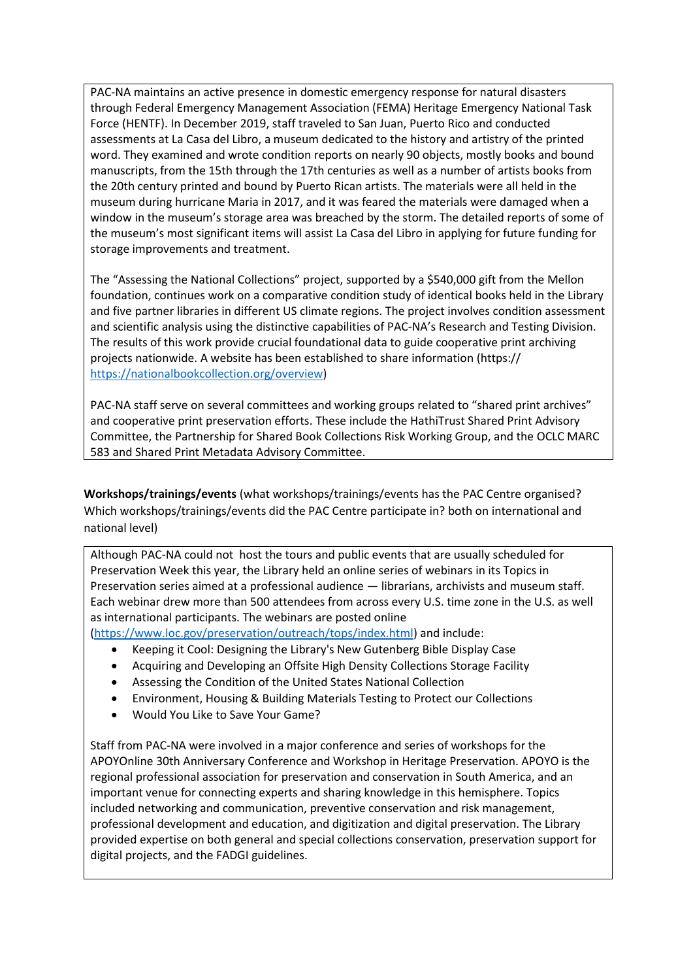PAC-NA maintains an active presence in domestic emergency response for natural disasters through Federal Emergency Management Association (FEMA) Heritage Emergency National Task Force (HENTF). In December 2019, staff traveled to San Juan, Puerto Rico and conducted assessments at La Casa del Libro, a museum dedicated to the history and artistry of the printed word. They examined and wrote condition reports on nearly 90 objects, mostly books and bound manuscripts, from the 15th through the 17th centuries as well as a number of artists books from the 20th century printed and bound by Puerto Rican artists. The materials were all held in the museum during hurricane Maria in 2017, and it was feared the materials were damaged when a window in the museum's storage area was breached by the storm. The detailed reports of some of the museum's most significant items will assist La Casa del Libro in applying for future funding for storage improvements and treatment.

The "Assessing the National Collections" project, supported by a \$540,000 gift from the Mellon foundation, continues work on a comparative condition study of identical books held in the Library and five partner libraries in different US climate regions. The project involves condition assessment and scientific analysis using the distinctive capabilities of PAC-NA's Research and Testing Division. The results of this work provide crucial foundational data to guide cooperative print archiving projects nationwide. A website has been established to share information (https:// [https://nationalbookcollection.org/overview\)](https://nationalbookcollection.org/overview)

PAC-NA staff serve on several committees and working groups related to "shared print archives" and cooperative print preservation efforts. These include the HathiTrust Shared Print Advisory Committee, the Partnership for Shared Book Collections Risk Working Group, and the OCLC MARC 583 and Shared Print Metadata Advisory Committee.

**Workshops/trainings/events** (what workshops/trainings/events has the PAC Centre organised? Which workshops/trainings/events did the PAC Centre participate in? both on international and national level)

Although PAC-NA could not host the tours and public events that are usually scheduled for Preservation Week this year, the Library held an online series of webinars in its Topics in Preservation series aimed at a professional audience — librarians, archivists and museum staff. Each webinar drew more than 500 attendees from across every U.S. time zone in the U.S. as well as international participants. The webinars are posted online

[\(https://www.loc.gov/preservation/outreach/tops/index.html\)](https://www.loc.gov/preservation/outreach/tops/index.html) and include:

- Keeping it Cool: Designing the Library's New Gutenberg Bible Display Case
- Acquiring and Developing an Offsite High Density Collections Storage Facility
- Assessing the Condition of the United States National Collection
- Environment, Housing & Building Materials Testing to Protect our Collections
- Would You Like to Save Your Game?

Staff from PAC-NA were involved in a major conference and series of workshops for the APOYOnline 30th Anniversary Conference and Workshop in Heritage Preservation. APOYO is the regional professional association for preservation and conservation in South America, and an important venue for connecting experts and sharing knowledge in this hemisphere. Topics included networking and communication, preventive conservation and risk management, professional development and education, and digitization and digital preservation. The Library provided expertise on both general and special collections conservation, preservation support for digital projects, and the FADGI guidelines.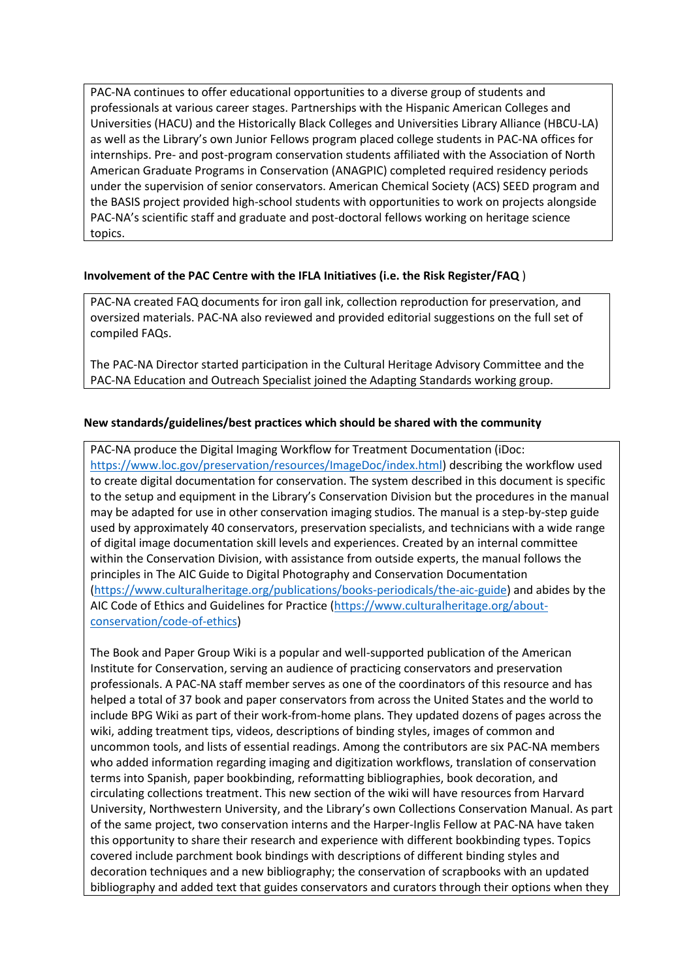PAC-NA continues to offer educational opportunities to a diverse group of students and professionals at various career stages. Partnerships with the Hispanic American Colleges and Universities (HACU) and the Historically Black Colleges and Universities Library Alliance (HBCU-LA) as well as the Library's own Junior Fellows program placed college students in PAC-NA offices for internships. Pre- and post-program conservation students affiliated with the Association of North American Graduate Programs in Conservation (ANAGPIC) completed required residency periods under the supervision of senior conservators. American Chemical Society (ACS) SEED program and the BASIS project provided high-school students with opportunities to work on projects alongside PAC-NA's scientific staff and graduate and post-doctoral fellows working on heritage science topics.

## **Involvement of the PAC Centre with the IFLA Initiatives (i.e. the Risk Register/FAQ** )

PAC-NA created FAQ documents for iron gall ink, collection reproduction for preservation, and oversized materials. PAC-NA also reviewed and provided editorial suggestions on the full set of compiled FAQs.

The PAC-NA Director started participation in the Cultural Heritage Advisory Committee and the PAC-NA Education and Outreach Specialist joined the Adapting Standards working group.

#### **New standards/guidelines/best practices which should be shared with the community**

PAC-NA produce the Digital Imaging Workflow for Treatment Documentation (iDoc: [https://www.loc.gov/preservation/resources/ImageDoc/index.html\)](https://www.loc.gov/preservation/resources/ImageDoc/index.html) describing the workflow used to create digital documentation for conservation. The system described in this document is specific to the setup and equipment in the Library's Conservation Division but the procedures in the manual may be adapted for use in other conservation imaging studios. The manual is a step-by-step guide used by approximately 40 conservators, preservation specialists, and technicians with a wide range of digital image documentation skill levels and experiences. Created by an internal committee within the Conservation Division, with assistance from outside experts, the manual follows the principles in The AIC Guide to Digital Photography and Conservation Documentation [\(https://www.culturalheritage.org/publications/books-periodicals/the-aic-guide\)](https://www.culturalheritage.org/publications/books-periodicals/the-aic-guide) and abides by the AIC Code of Ethics and Guidelines for Practice [\(https://www.culturalheritage.org/about](https://www.culturalheritage.org/about-conservation/code-of-ethics)[conservation/code-of-ethics\)](https://www.culturalheritage.org/about-conservation/code-of-ethics)

The Book and Paper Group Wiki is a popular and well-supported publication of the American Institute for Conservation, serving an audience of practicing conservators and preservation professionals. A PAC-NA staff member serves as one of the coordinators of this resource and has helped a total of 37 book and paper conservators from across the United States and the world to include BPG Wiki as part of their work-from-home plans. They updated dozens of pages across the wiki, adding treatment tips, videos, descriptions of binding styles, images of common and uncommon tools, and lists of essential readings. Among the contributors are six PAC-NA members who added information regarding imaging and digitization workflows, translation of conservation terms into Spanish, paper bookbinding, reformatting bibliographies, book decoration, and circulating collections treatment. This new section of the wiki will have resources from Harvard University, Northwestern University, and the Library's own Collections Conservation Manual. As part of the same project, two conservation interns and the Harper-Inglis Fellow at PAC-NA have taken this opportunity to share their research and experience with different bookbinding types. Topics covered include parchment book bindings with descriptions of different binding styles and decoration techniques and a new bibliography; the conservation of scrapbooks with an updated bibliography and added text that guides conservators and curators through their options when they